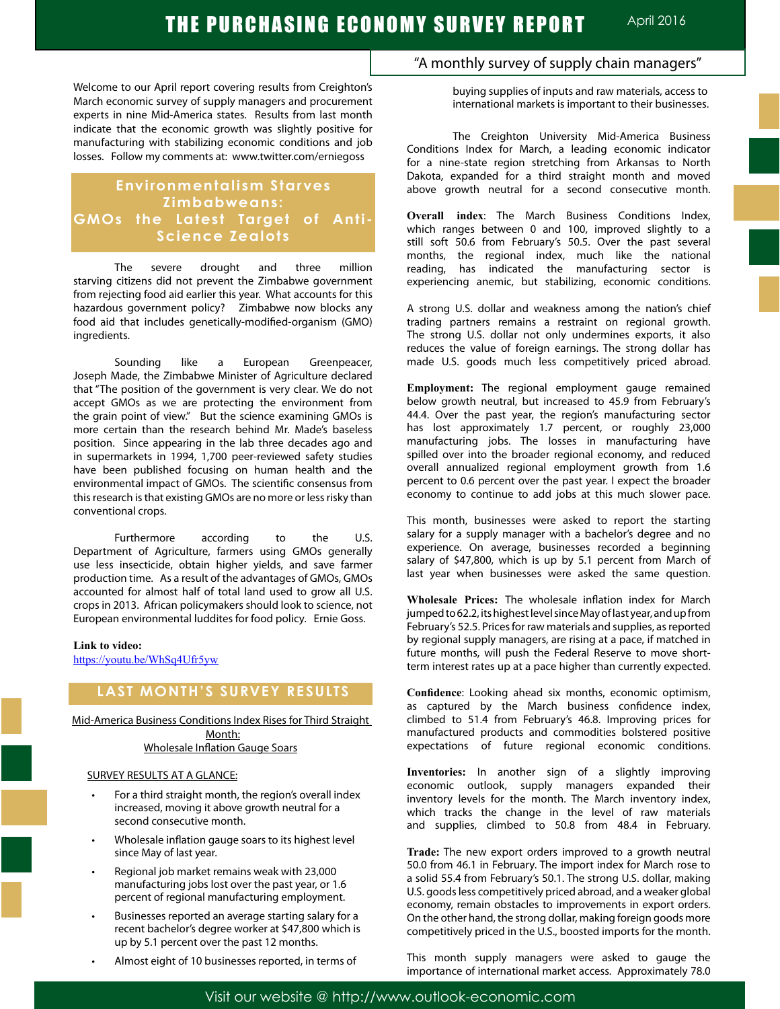Welcome to our April report covering results from Creighton's March economic survey of supply managers and procurement experts in nine Mid-America states. Results from last month indicate that the economic growth was slightly positive for manufacturing with stabilizing economic conditions and job losses. Follow my comments at: www.twitter.com/erniegoss

# **Environmentalism Starves Zimbabweans: GMOs the Latest Target of Anti-Science Zealots**

The severe drought and three million starving citizens did not prevent the Zimbabwe government from rejecting food aid earlier this year. What accounts for this hazardous government policy? Zimbabwe now blocks any food aid that includes genetically-modified-organism (GMO) ingredients.

Sounding like a European Greenpeacer, Joseph Made, the Zimbabwe Minister of Agriculture declared that "The position of the government is very clear. We do not accept GMOs as we are protecting the environment from the grain point of view." But the science examining GMOs is more certain than the research behind Mr. Made's baseless position. Since appearing in the lab three decades ago and in supermarkets in 1994, 1,700 peer-reviewed safety studies have been published focusing on human health and the environmental impact of GMOs. The scientific consensus from this research is that existing GMOs are no more or less risky than conventional crops.

Furthermore according to the U.S. Department of Agriculture, farmers using GMOs generally use less insecticide, obtain higher yields, and save farmer production time. As a result of the advantages of GMOs, GMOs accounted for almost half of total land used to grow all U.S. crops in 2013. African policymakers should look to science, not European environmental luddites for food policy. Ernie Goss.

#### **Link to video:**

https://youtu.be/WhSq4Ufr5yw

# **LAST MONTH'S SURVEY RESULTS**

Mid-America Business Conditions Index Rises for Third Straight Month: Wholesale Inflation Gauge Soars

### SURVEY RESULTS AT A GLANCE:

- For a third straight month, the region's overall index increased, moving it above growth neutral for a second consecutive month.
- Wholesale inflation gauge soars to its highest level since May of last year.
- Regional job market remains weak with 23,000 manufacturing jobs lost over the past year, or 1.6 percent of regional manufacturing employment.
- Businesses reported an average starting salary for a recent bachelor's degree worker at \$47,800 which is up by 5.1 percent over the past 12 months.
- Almost eight of 10 businesses reported, in terms of

# "A monthly survey of supply chain managers"

buying supplies of inputs and raw materials, access to international markets is important to their businesses.

The Creighton University Mid-America Business Conditions Index for March, a leading economic indicator for a nine-state region stretching from Arkansas to North Dakota, expanded for a third straight month and moved above growth neutral for a second consecutive month.

**Overall index**: The March Business Conditions Index, which ranges between 0 and 100, improved slightly to a still soft 50.6 from February's 50.5. Over the past several months, the regional index, much like the national reading, has indicated the manufacturing sector is experiencing anemic, but stabilizing, economic conditions.

A strong U.S. dollar and weakness among the nation's chief trading partners remains a restraint on regional growth. The strong U.S. dollar not only undermines exports, it also reduces the value of foreign earnings. The strong dollar has made U.S. goods much less competitively priced abroad.

**Employment:** The regional employment gauge remained below growth neutral, but increased to 45.9 from February's 44.4. Over the past year, the region's manufacturing sector has lost approximately 1.7 percent, or roughly 23,000 manufacturing jobs. The losses in manufacturing have spilled over into the broader regional economy, and reduced overall annualized regional employment growth from 1.6 percent to 0.6 percent over the past year. I expect the broader economy to continue to add jobs at this much slower pace.

This month, businesses were asked to report the starting salary for a supply manager with a bachelor's degree and no experience. On average, businesses recorded a beginning salary of \$47,800, which is up by 5.1 percent from March of last year when businesses were asked the same question.

**Wholesale Prices:** The wholesale inflation index for March jumped to 62.2, its highest level since May of last year, and up from February's 52.5. Prices for raw materials and supplies, as reported by regional supply managers, are rising at a pace, if matched in future months, will push the Federal Reserve to move shortterm interest rates up at a pace higher than currently expected.

**Confidence**: Looking ahead six months, economic optimism, as captured by the March business confidence index, climbed to 51.4 from February's 46.8. Improving prices for manufactured products and commodities bolstered positive expectations of future regional economic conditions.

**Inventories:** In another sign of a slightly improving economic outlook, supply managers expanded their inventory levels for the month. The March inventory index, which tracks the change in the level of raw materials and supplies, climbed to 50.8 from 48.4 in February.

**Trade:** The new export orders improved to a growth neutral 50.0 from 46.1 in February. The import index for March rose to a solid 55.4 from February's 50.1. The strong U.S. dollar, making U.S. goods less competitively priced abroad, and a weaker global economy, remain obstacles to improvements in export orders. On the other hand, the strong dollar, making foreign goods more competitively priced in the U.S., boosted imports for the month.

This month supply managers were asked to gauge the importance of international market access. Approximately 78.0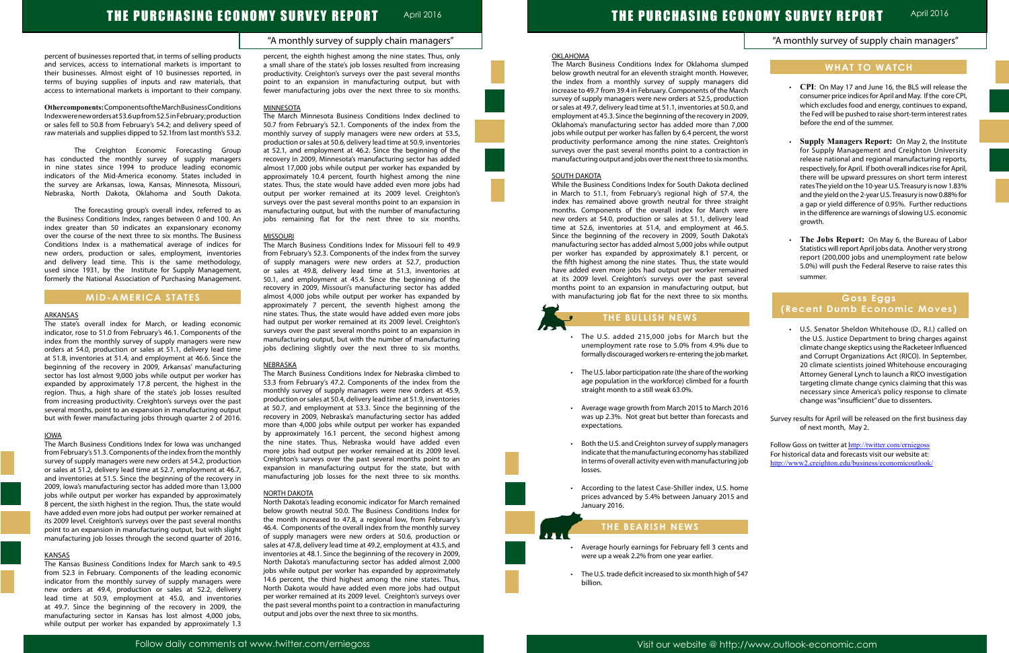# "A monthly survey of supply chain managers"

# "A monthly survey of supply chain managers"

# THE PURCHASING ECONOMY SURVEY REPORT April 2016

percent of businesses reported that, in terms of selling products and services, access to international markets is important to their businesses. Almost eight of 10 businesses reported, in terms of buying supplies of inputs and raw materials, that access to international markets is important to their company.

**Other components:** Components of the March Business Conditions Index were new orders at 53.6 up from 52.5 in February; production or sales fell to 50.8 from February's 54.2; and delivery speed of raw materials and supplies dipped to 52.1from last month's 53.2.

The Creighton Economic Forecasting Group has conducted the monthly survey of supply managers in nine states since 1994 to produce leading economic indicators of the Mid-America economy. States included in the survey are Arkansas, Iowa, Kansas, Minnesota, Missouri, Nebraska, North Dakota, Oklahoma and South Dakota.

The forecasting group's overall index, referred to as the Business Conditions Index, ranges between 0 and 100. An index greater than 50 indicates an expansionary economy over the course of the next three to six months. The Business Conditions Index is a mathematical average of indices for new orders, production or sales, employment, inventories and delivery lead time. This is the same methodology, used since 1931, by the Institute for Supply Management, formerly the National Association of Purchasing Management.

# **MID-AMERICA STATES**

### ARKANSAS

The state's overall index for March, or leading economic indicator, rose to 51.0 from February's 46.1. Components of the index from the monthly survey of supply managers were new orders at 54.0, production or sales at 51.1, delivery lead time at 51.8, inventories at 51.4, and employment at 46.6. Since the beginning of the recovery in 2009, Arkansas' manufacturing sector has lost almost 9,000 jobs while output per worker has expanded by approximately 17.8 percent, the highest in the region. Thus, a high share of the state's job losses resulted from increasing productivity. Creighton's surveys over the past several months, point to an expansion in manufacturing output but with fewer manufacturing jobs through quarter 2 of 2016.

### IOWA

The March Business Conditions Index for Iowa was unchanged from February's 51.3. Components of the index from the monthly survey of supply managers were new orders at 54.2, production or sales at 51.2, delivery lead time at 52.7, employment at 46.7, and inventories at 51.5. Since the beginning of the recovery in 2009, Iowa's manufacturing sector has added more than 13,000 jobs while output per worker has expanded by approximately 8 percent, the sixth highest in the region. Thus, the state would have added even more jobs had output per worker remained at its 2009 level. Creighton's surveys over the past several months point to an expansion in manufacturing output, but with slight manufacturing job losses through the second quarter of 2016.

### **KANSAS**

The Kansas Business Conditions Index for March sank to 49.5 from 52.3 in February. Components of the leading economic indicator from the monthly survey of supply managers were new orders at 49.4, production or sales at 52.2, delivery lead time at 50.9, employment at 45.0, and inventories at 49.7. Since the beginning of the recovery in 2009, the manufacturing sector in Kansas has lost almost 4,000 jobs, while output per worker has expanded by approximately 1.3 percent, the eighth highest among the nine states. Thus, only a small share of the state's job losses resulted from increasing productivity. Creighton's surveys over the past several months point to an expansion in manufacturing output, but with fewer manufacturing jobs over the next three to six months.

#### **MINNESOTA**

The March Minnesota Business Conditions Index declined to 50.7 from February's 52.1. Components of the index from the monthly survey of supply managers were new orders at 53.5, production or sales at 50.6, delivery lead time at 50.9, inventories at 52.1, and employment at 46.2. Since the beginning of the recovery in 2009, Minnesota's manufacturing sector has added almost 17,000 jobs while output per worker has expanded by approximately 10.4 percent, fourth highest among the nine states. Thus, the state would have added even more jobs had output per worker remained at its 2009 level. Creighton's surveys over the past several months point to an expansion in manufacturing output, but with the number of manufacturing jobs remaining flat for the next three to six months.

## **MISSOURI**

- The U.S. added 215,000 jobs for March but unemployment rate rose to 5.0% from 4.9% due formally discouraged workers re-entering the job mar
- The U.S. labor participation rate (the share of the work age population in the workforce) climbed for a fou straight month to a still weak 63.0%.
- Average wage growth from March 2015 to March 2 was up 2.3%. Not great but better than forecasts expectations.
- Both the U.S. and Creighton survey of supply managers. indicate that the manufacturing economy has stabili in terms of overall activity even with manufacturing losses.
- According to the latest Case-Shiller index, U.S. home prices advanced by 5.4% between January 2015 January 2016.

| CPI: On May 17 and June 16, the BLS will release the<br>$\bullet$<br>consumer price indices for April and May. If the core CPI,<br>which excludes food and energy, continues to expand,<br>the Fed will be pushed to raise short-term interest rates<br>before the end of the summer.<br>Supply Managers Report: On May 2, the Institute<br>for Supply Management and Creighton University<br>release national and regional manufacturing reports,<br>respectively, for April. If both overall indices rise for April,<br>there will be upward pressures on short term interest<br>rates The yield on the 10-year U.S. Treasury is now 1.83%<br>and the yield on the 2-year U.S. Treasury is now 0.88% for<br>a gap or yield difference of 0.95%. Further reductions<br>in the difference are warnings of slowing U.S. economic<br>growth.<br>The Jobs Report: On May 6, the Bureau of Labor<br>Statistics will report April jobs data. Another very strong<br>report (200,000 jobs and unemployment rate below<br>5.0%) will push the Federal Reserve to raise rates this<br>summer.<br>Goss Eggs<br>(Recent Dumb Economic Moves)<br>U.S. Senator Sheldon Whitehouse (D., R.I.) called on<br>the U.S. Justice Department to bring charges against<br>climate change skeptics using the Racketeer Influenced<br>and Corrupt Organizations Act (RICO). In September,<br>20 climate scientists joined Whitehouse encouraging<br>Attorney General Lynch to launch a RICO investigation<br>targeting climate change cynics claiming that this was<br>necessary since America's policy response to climate<br>change was "insufficient" due to dissenters.<br>Survey results for April will be released on the first business day<br>of next month, May 2.<br>Follow Goss on twitter at http://twitter.com/erniegoss<br>For historical data and forecasts visit our website at:<br>http://www2.creighton.edu/business/economicoutlook/ |  |
|-----------------------------------------------------------------------------------------------------------------------------------------------------------------------------------------------------------------------------------------------------------------------------------------------------------------------------------------------------------------------------------------------------------------------------------------------------------------------------------------------------------------------------------------------------------------------------------------------------------------------------------------------------------------------------------------------------------------------------------------------------------------------------------------------------------------------------------------------------------------------------------------------------------------------------------------------------------------------------------------------------------------------------------------------------------------------------------------------------------------------------------------------------------------------------------------------------------------------------------------------------------------------------------------------------------------------------------------------------------------------------------------------------------------------------------------------------------------------------------------------------------------------------------------------------------------------------------------------------------------------------------------------------------------------------------------------------------------------------------------------------------------------------------------------------------------------------------------------------------------------------------------------------------------------------------|--|
|                                                                                                                                                                                                                                                                                                                                                                                                                                                                                                                                                                                                                                                                                                                                                                                                                                                                                                                                                                                                                                                                                                                                                                                                                                                                                                                                                                                                                                                                                                                                                                                                                                                                                                                                                                                                                                                                                                                                   |  |
|                                                                                                                                                                                                                                                                                                                                                                                                                                                                                                                                                                                                                                                                                                                                                                                                                                                                                                                                                                                                                                                                                                                                                                                                                                                                                                                                                                                                                                                                                                                                                                                                                                                                                                                                                                                                                                                                                                                                   |  |
|                                                                                                                                                                                                                                                                                                                                                                                                                                                                                                                                                                                                                                                                                                                                                                                                                                                                                                                                                                                                                                                                                                                                                                                                                                                                                                                                                                                                                                                                                                                                                                                                                                                                                                                                                                                                                                                                                                                                   |  |
|                                                                                                                                                                                                                                                                                                                                                                                                                                                                                                                                                                                                                                                                                                                                                                                                                                                                                                                                                                                                                                                                                                                                                                                                                                                                                                                                                                                                                                                                                                                                                                                                                                                                                                                                                                                                                                                                                                                                   |  |
|                                                                                                                                                                                                                                                                                                                                                                                                                                                                                                                                                                                                                                                                                                                                                                                                                                                                                                                                                                                                                                                                                                                                                                                                                                                                                                                                                                                                                                                                                                                                                                                                                                                                                                                                                                                                                                                                                                                                   |  |
|                                                                                                                                                                                                                                                                                                                                                                                                                                                                                                                                                                                                                                                                                                                                                                                                                                                                                                                                                                                                                                                                                                                                                                                                                                                                                                                                                                                                                                                                                                                                                                                                                                                                                                                                                                                                                                                                                                                                   |  |
|                                                                                                                                                                                                                                                                                                                                                                                                                                                                                                                                                                                                                                                                                                                                                                                                                                                                                                                                                                                                                                                                                                                                                                                                                                                                                                                                                                                                                                                                                                                                                                                                                                                                                                                                                                                                                                                                                                                                   |  |
|                                                                                                                                                                                                                                                                                                                                                                                                                                                                                                                                                                                                                                                                                                                                                                                                                                                                                                                                                                                                                                                                                                                                                                                                                                                                                                                                                                                                                                                                                                                                                                                                                                                                                                                                                                                                                                                                                                                                   |  |
|                                                                                                                                                                                                                                                                                                                                                                                                                                                                                                                                                                                                                                                                                                                                                                                                                                                                                                                                                                                                                                                                                                                                                                                                                                                                                                                                                                                                                                                                                                                                                                                                                                                                                                                                                                                                                                                                                                                                   |  |
|                                                                                                                                                                                                                                                                                                                                                                                                                                                                                                                                                                                                                                                                                                                                                                                                                                                                                                                                                                                                                                                                                                                                                                                                                                                                                                                                                                                                                                                                                                                                                                                                                                                                                                                                                                                                                                                                                                                                   |  |
|                                                                                                                                                                                                                                                                                                                                                                                                                                                                                                                                                                                                                                                                                                                                                                                                                                                                                                                                                                                                                                                                                                                                                                                                                                                                                                                                                                                                                                                                                                                                                                                                                                                                                                                                                                                                                                                                                                                                   |  |
|                                                                                                                                                                                                                                                                                                                                                                                                                                                                                                                                                                                                                                                                                                                                                                                                                                                                                                                                                                                                                                                                                                                                                                                                                                                                                                                                                                                                                                                                                                                                                                                                                                                                                                                                                                                                                                                                                                                                   |  |
|                                                                                                                                                                                                                                                                                                                                                                                                                                                                                                                                                                                                                                                                                                                                                                                                                                                                                                                                                                                                                                                                                                                                                                                                                                                                                                                                                                                                                                                                                                                                                                                                                                                                                                                                                                                                                                                                                                                                   |  |
|                                                                                                                                                                                                                                                                                                                                                                                                                                                                                                                                                                                                                                                                                                                                                                                                                                                                                                                                                                                                                                                                                                                                                                                                                                                                                                                                                                                                                                                                                                                                                                                                                                                                                                                                                                                                                                                                                                                                   |  |
|                                                                                                                                                                                                                                                                                                                                                                                                                                                                                                                                                                                                                                                                                                                                                                                                                                                                                                                                                                                                                                                                                                                                                                                                                                                                                                                                                                                                                                                                                                                                                                                                                                                                                                                                                                                                                                                                                                                                   |  |
|                                                                                                                                                                                                                                                                                                                                                                                                                                                                                                                                                                                                                                                                                                                                                                                                                                                                                                                                                                                                                                                                                                                                                                                                                                                                                                                                                                                                                                                                                                                                                                                                                                                                                                                                                                                                                                                                                                                                   |  |
|                                                                                                                                                                                                                                                                                                                                                                                                                                                                                                                                                                                                                                                                                                                                                                                                                                                                                                                                                                                                                                                                                                                                                                                                                                                                                                                                                                                                                                                                                                                                                                                                                                                                                                                                                                                                                                                                                                                                   |  |
|                                                                                                                                                                                                                                                                                                                                                                                                                                                                                                                                                                                                                                                                                                                                                                                                                                                                                                                                                                                                                                                                                                                                                                                                                                                                                                                                                                                                                                                                                                                                                                                                                                                                                                                                                                                                                                                                                                                                   |  |
|                                                                                                                                                                                                                                                                                                                                                                                                                                                                                                                                                                                                                                                                                                                                                                                                                                                                                                                                                                                                                                                                                                                                                                                                                                                                                                                                                                                                                                                                                                                                                                                                                                                                                                                                                                                                                                                                                                                                   |  |
|                                                                                                                                                                                                                                                                                                                                                                                                                                                                                                                                                                                                                                                                                                                                                                                                                                                                                                                                                                                                                                                                                                                                                                                                                                                                                                                                                                                                                                                                                                                                                                                                                                                                                                                                                                                                                                                                                                                                   |  |
|                                                                                                                                                                                                                                                                                                                                                                                                                                                                                                                                                                                                                                                                                                                                                                                                                                                                                                                                                                                                                                                                                                                                                                                                                                                                                                                                                                                                                                                                                                                                                                                                                                                                                                                                                                                                                                                                                                                                   |  |
|                                                                                                                                                                                                                                                                                                                                                                                                                                                                                                                                                                                                                                                                                                                                                                                                                                                                                                                                                                                                                                                                                                                                                                                                                                                                                                                                                                                                                                                                                                                                                                                                                                                                                                                                                                                                                                                                                                                                   |  |
|                                                                                                                                                                                                                                                                                                                                                                                                                                                                                                                                                                                                                                                                                                                                                                                                                                                                                                                                                                                                                                                                                                                                                                                                                                                                                                                                                                                                                                                                                                                                                                                                                                                                                                                                                                                                                                                                                                                                   |  |
|                                                                                                                                                                                                                                                                                                                                                                                                                                                                                                                                                                                                                                                                                                                                                                                                                                                                                                                                                                                                                                                                                                                                                                                                                                                                                                                                                                                                                                                                                                                                                                                                                                                                                                                                                                                                                                                                                                                                   |  |
|                                                                                                                                                                                                                                                                                                                                                                                                                                                                                                                                                                                                                                                                                                                                                                                                                                                                                                                                                                                                                                                                                                                                                                                                                                                                                                                                                                                                                                                                                                                                                                                                                                                                                                                                                                                                                                                                                                                                   |  |
|                                                                                                                                                                                                                                                                                                                                                                                                                                                                                                                                                                                                                                                                                                                                                                                                                                                                                                                                                                                                                                                                                                                                                                                                                                                                                                                                                                                                                                                                                                                                                                                                                                                                                                                                                                                                                                                                                                                                   |  |
|                                                                                                                                                                                                                                                                                                                                                                                                                                                                                                                                                                                                                                                                                                                                                                                                                                                                                                                                                                                                                                                                                                                                                                                                                                                                                                                                                                                                                                                                                                                                                                                                                                                                                                                                                                                                                                                                                                                                   |  |
|                                                                                                                                                                                                                                                                                                                                                                                                                                                                                                                                                                                                                                                                                                                                                                                                                                                                                                                                                                                                                                                                                                                                                                                                                                                                                                                                                                                                                                                                                                                                                                                                                                                                                                                                                                                                                                                                                                                                   |  |
|                                                                                                                                                                                                                                                                                                                                                                                                                                                                                                                                                                                                                                                                                                                                                                                                                                                                                                                                                                                                                                                                                                                                                                                                                                                                                                                                                                                                                                                                                                                                                                                                                                                                                                                                                                                                                                                                                                                                   |  |
|                                                                                                                                                                                                                                                                                                                                                                                                                                                                                                                                                                                                                                                                                                                                                                                                                                                                                                                                                                                                                                                                                                                                                                                                                                                                                                                                                                                                                                                                                                                                                                                                                                                                                                                                                                                                                                                                                                                                   |  |
|                                                                                                                                                                                                                                                                                                                                                                                                                                                                                                                                                                                                                                                                                                                                                                                                                                                                                                                                                                                                                                                                                                                                                                                                                                                                                                                                                                                                                                                                                                                                                                                                                                                                                                                                                                                                                                                                                                                                   |  |
|                                                                                                                                                                                                                                                                                                                                                                                                                                                                                                                                                                                                                                                                                                                                                                                                                                                                                                                                                                                                                                                                                                                                                                                                                                                                                                                                                                                                                                                                                                                                                                                                                                                                                                                                                                                                                                                                                                                                   |  |
|                                                                                                                                                                                                                                                                                                                                                                                                                                                                                                                                                                                                                                                                                                                                                                                                                                                                                                                                                                                                                                                                                                                                                                                                                                                                                                                                                                                                                                                                                                                                                                                                                                                                                                                                                                                                                                                                                                                                   |  |
|                                                                                                                                                                                                                                                                                                                                                                                                                                                                                                                                                                                                                                                                                                                                                                                                                                                                                                                                                                                                                                                                                                                                                                                                                                                                                                                                                                                                                                                                                                                                                                                                                                                                                                                                                                                                                                                                                                                                   |  |
|                                                                                                                                                                                                                                                                                                                                                                                                                                                                                                                                                                                                                                                                                                                                                                                                                                                                                                                                                                                                                                                                                                                                                                                                                                                                                                                                                                                                                                                                                                                                                                                                                                                                                                                                                                                                                                                                                                                                   |  |
|                                                                                                                                                                                                                                                                                                                                                                                                                                                                                                                                                                                                                                                                                                                                                                                                                                                                                                                                                                                                                                                                                                                                                                                                                                                                                                                                                                                                                                                                                                                                                                                                                                                                                                                                                                                                                                                                                                                                   |  |
|                                                                                                                                                                                                                                                                                                                                                                                                                                                                                                                                                                                                                                                                                                                                                                                                                                                                                                                                                                                                                                                                                                                                                                                                                                                                                                                                                                                                                                                                                                                                                                                                                                                                                                                                                                                                                                                                                                                                   |  |
|                                                                                                                                                                                                                                                                                                                                                                                                                                                                                                                                                                                                                                                                                                                                                                                                                                                                                                                                                                                                                                                                                                                                                                                                                                                                                                                                                                                                                                                                                                                                                                                                                                                                                                                                                                                                                                                                                                                                   |  |
|                                                                                                                                                                                                                                                                                                                                                                                                                                                                                                                                                                                                                                                                                                                                                                                                                                                                                                                                                                                                                                                                                                                                                                                                                                                                                                                                                                                                                                                                                                                                                                                                                                                                                                                                                                                                                                                                                                                                   |  |
|                                                                                                                                                                                                                                                                                                                                                                                                                                                                                                                                                                                                                                                                                                                                                                                                                                                                                                                                                                                                                                                                                                                                                                                                                                                                                                                                                                                                                                                                                                                                                                                                                                                                                                                                                                                                                                                                                                                                   |  |
|                                                                                                                                                                                                                                                                                                                                                                                                                                                                                                                                                                                                                                                                                                                                                                                                                                                                                                                                                                                                                                                                                                                                                                                                                                                                                                                                                                                                                                                                                                                                                                                                                                                                                                                                                                                                                                                                                                                                   |  |
|                                                                                                                                                                                                                                                                                                                                                                                                                                                                                                                                                                                                                                                                                                                                                                                                                                                                                                                                                                                                                                                                                                                                                                                                                                                                                                                                                                                                                                                                                                                                                                                                                                                                                                                                                                                                                                                                                                                                   |  |
|                                                                                                                                                                                                                                                                                                                                                                                                                                                                                                                                                                                                                                                                                                                                                                                                                                                                                                                                                                                                                                                                                                                                                                                                                                                                                                                                                                                                                                                                                                                                                                                                                                                                                                                                                                                                                                                                                                                                   |  |

The March Business Conditions Index for Missouri fell to 49.9 from February's 52.3. Components of the index from the survey of supply managers were new orders at 52.7, production or sales at 49.8, delivery lead time at 51.3, inventories at 50.1, and employment at 45.4. Since the beginning of the recovery in 2009, Missouri's manufacturing sector has added almost 4,000 jobs while output per worker has expanded by approximately 7 percent, the seventh highest among the nine states. Thus, the state would have added even more jobs had output per worker remained at its 2009 level. Creighton's surveys over the past several months point to an expansion in manufacturing output, but with the number of manufacturing jobs declining slightly over the next three to six months.

## NEBRASKA

The March Business Conditions Index for Nebraska climbed to 53.3 from February's 47.2. Components of the index from the monthly survey of supply managers were new orders at 45.9, production or sales at 50.4, delivery lead time at 51.9, inventories at 50.7, and employment at 53.3. Since the beginning of the recovery in 2009, Nebraska's manufacturing sector has added more than 4,000 jobs while output per worker has expanded by approximately 16.1 percent, the second highest among the nine states. Thus, Nebraska would have added even more jobs had output per worker remained at its 2009 level. Creighton's surveys over the past several months point to an expansion in manufacturing output for the state, but with manufacturing job losses for the next three to six months.

### NORTH DAKOTA

North Dakota's leading economic indicator for March remained below growth neutral 50.0. The Business Conditions Index for the month increased to 47.8, a regional low, from February's 46.4. Components of the overall index from the monthly survey of supply managers were new orders at 50.6, production or sales at 47.8, delivery lead time at 49.2, employment at 43.5, and inventories at 48.1. Since the beginning of the recovery in 2009, North Dakota's manufacturing sector has added almost 2,000 jobs while output per worker has expanded by approximately 14.6 percent, the third highest among the nine states. Thus, North Dakota would have added even more jobs had output per worker remained at its 2009 level. Creighton's surveys over the past several months point to a contraction in manufacturing output and jobs over the next three to six months.



The March Business Conditions Index for Oklahoma slum below growth neutral for an eleventh straight month. Howe the index from a monthly survey of supply managers increase to 49.7 from 39.4 in February. Components of the Ma survey of supply managers were new orders at 52.5, product or sales at 49.7, delivery lead time at 51.1, inventories at 50.0, employment at 45.3. Since the beginning of the recovery in 20 Oklahoma's manufacturing sector has added more than 7, jobs while output per worker has fallen by 6.4 percent, the w productivity performance among the nine states. Creight surveys over the past several months point to a contraction manufacturing output and jobs over the next three to six mon

#### SOUTH DAKOTA

While the Business Conditions Index for South Dakota decli in March to 51.1, from February's regional high of 57.4, index has remained above growth neutral for three straing months. Components of the overall index for March w new orders at 54.0, production or sales at 51.1, delivery l time at 52.6, inventories at 51.4, and employment at 4 Since the beginning of the recovery in 2009, South Dako manufacturing sector has added almost 5,000 jobs while out per worker has expanded by approximately 8.1 percent the fifth highest among the nine states. Thus, the state wo have added even more jobs had output per worker remai at its 2009 level. Creighton's surveys over the past sev months point to an expansion in manufacturing output, with manufacturing job flat for the next three to six mon

# **THE BULLISH NEWS**

# **THE BEARISH NEWS**

- • Average hourly earnings for February fell 3 cents and were up a weak 2.2% from one year earlier.
- The U.S. trade deficit increased to six month high of \$47 billion.